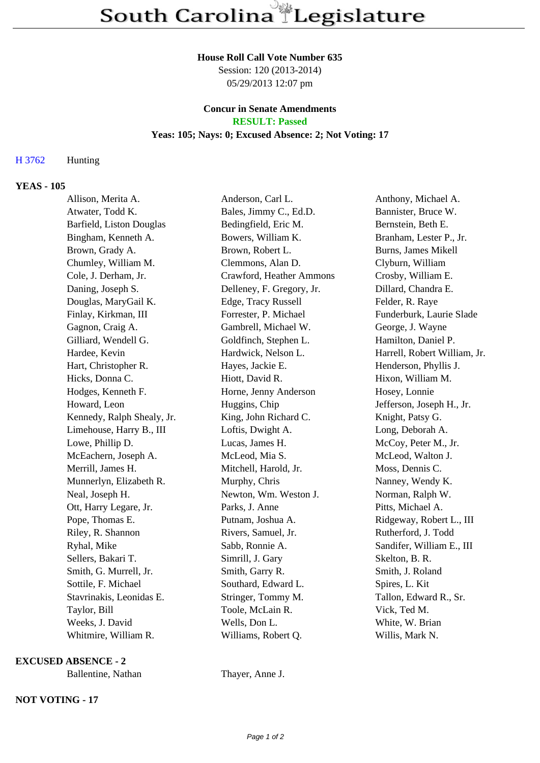### **House Roll Call Vote Number 635**

Session: 120 (2013-2014) 05/29/2013 12:07 pm

## **Concur in Senate Amendments RESULT: Passed**

# **Yeas: 105; Nays: 0; Excused Absence: 2; Not Voting: 17**

# H 3762 Hunting

## **YEAS - 105**

| Allison, Merita A.         | Anderson, Carl L.         | Anthony, Michael A.          |
|----------------------------|---------------------------|------------------------------|
| Atwater, Todd K.           | Bales, Jimmy C., Ed.D.    | Bannister, Bruce W.          |
| Barfield, Liston Douglas   | Bedingfield, Eric M.      | Bernstein, Beth E.           |
| Bingham, Kenneth A.        | Bowers, William K.        | Branham, Lester P., Jr.      |
| Brown, Grady A.            | Brown, Robert L.          | <b>Burns, James Mikell</b>   |
| Chumley, William M.        | Clemmons, Alan D.         | Clyburn, William             |
| Cole, J. Derham, Jr.       | Crawford, Heather Ammons  | Crosby, William E.           |
| Daning, Joseph S.          | Delleney, F. Gregory, Jr. | Dillard, Chandra E.          |
| Douglas, MaryGail K.       | Edge, Tracy Russell       | Felder, R. Raye              |
| Finlay, Kirkman, III       | Forrester, P. Michael     | Funderburk, Laurie Slade     |
| Gagnon, Craig A.           | Gambrell, Michael W.      | George, J. Wayne             |
| Gilliard, Wendell G.       | Goldfinch, Stephen L.     | Hamilton, Daniel P.          |
| Hardee, Kevin              | Hardwick, Nelson L.       | Harrell, Robert William, Jr. |
| Hart, Christopher R.       | Hayes, Jackie E.          | Henderson, Phyllis J.        |
| Hicks, Donna C.            | Hiott, David R.           | Hixon, William M.            |
| Hodges, Kenneth F.         | Horne, Jenny Anderson     | Hosey, Lonnie                |
| Howard, Leon               | Huggins, Chip             | Jefferson, Joseph H., Jr.    |
| Kennedy, Ralph Shealy, Jr. | King, John Richard C.     | Knight, Patsy G.             |
| Limehouse, Harry B., III   | Loftis, Dwight A.         | Long, Deborah A.             |
| Lowe, Phillip D.           | Lucas, James H.           | McCoy, Peter M., Jr.         |
| McEachern, Joseph A.       | McLeod, Mia S.            | McLeod, Walton J.            |
| Merrill, James H.          | Mitchell, Harold, Jr.     | Moss, Dennis C.              |
| Munnerlyn, Elizabeth R.    | Murphy, Chris             | Nanney, Wendy K.             |
| Neal, Joseph H.            | Newton, Wm. Weston J.     | Norman, Ralph W.             |
| Ott, Harry Legare, Jr.     | Parks, J. Anne            | Pitts, Michael A.            |
| Pope, Thomas E.            | Putnam, Joshua A.         | Ridgeway, Robert L., III     |
| Riley, R. Shannon          | Rivers, Samuel, Jr.       | Rutherford, J. Todd          |
| Ryhal, Mike                | Sabb, Ronnie A.           | Sandifer, William E., III    |
| Sellers, Bakari T.         | Simrill, J. Gary          | Skelton, B. R.               |
| Smith, G. Murrell, Jr.     | Smith, Garry R.           | Smith, J. Roland             |
| Sottile, F. Michael        | Southard, Edward L.       | Spires, L. Kit               |
| Stavrinakis, Leonidas E.   | Stringer, Tommy M.        | Tallon, Edward R., Sr.       |
| Taylor, Bill               | Toole, McLain R.          | Vick, Ted M.                 |
| Weeks, J. David            | Wells, Don L.             | White, W. Brian              |
| Whitmire, William R.       | Williams, Robert Q.       | Willis, Mark N.              |

## **EXCUSED ABSENCE - 2**

Ballentine, Nathan Thayer, Anne J.

**NOT VOTING - 17**